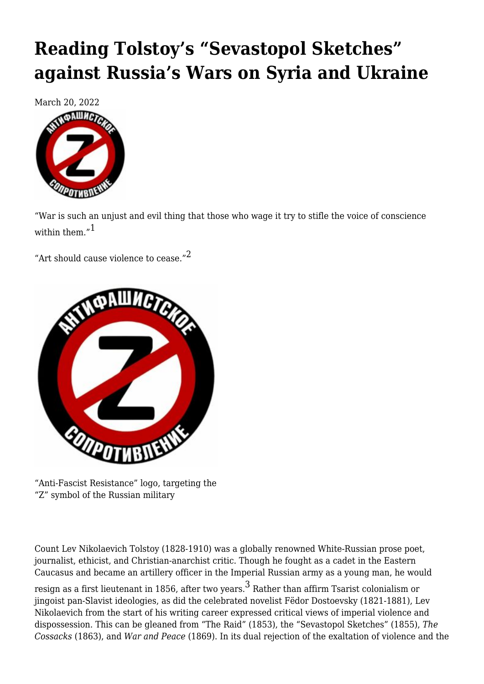# **[Reading Tolstoy's "Sevastopol Sketches"](https://newpol.org/reading-tolstoys-sevastopol-sketches-against-russias-wars-on-syria-and-ukraine/) [against Russia's Wars on Syria and Ukraine](https://newpol.org/reading-tolstoys-sevastopol-sketches-against-russias-wars-on-syria-and-ukraine/)**

March 20, 2022



<span id="page-0-0"></span>"War is such an unjust and evil thing that those who wage it try to stifle the voice of conscience within them  $v<sup>1</sup>$  $v<sup>1</sup>$  $v<sup>1</sup>$ 

<span id="page-0-1"></span>"Art should cause violence to cease."<sup>[2](#page-9-0)</sup>



<sup>&</sup>quot;Anti-Fascist Resistance" logo, targeting the "Z" symbol of the Russian military

Count Lev Nikolaevich Tolstoy (1828-1910) was a globally renowned White-Russian prose poet, journalist, ethicist, and Christian-anarchist critic. Though he fought as a cadet in the Eastern Caucasus and became an artillery officer in the Imperial Russian army as a young man, he would

<span id="page-0-2"></span>resign as a first lieutenant in 1856, after two years. $^3$  $^3$  Rather than affirm Tsarist colonialism or jingoist pan-Slavist ideologies, as did the celebrated novelist Fëdor Dostoevsky (1821-1881), Lev Nikolaevich from the start of his writing career expressed critical views of imperial violence and dispossession. This can be gleaned from "The Raid" (1853), the "Sevastopol Sketches" (1855), *The Cossacks* (1863), and *War and Peace* (1869). In its dual rejection of the exaltation of violence and the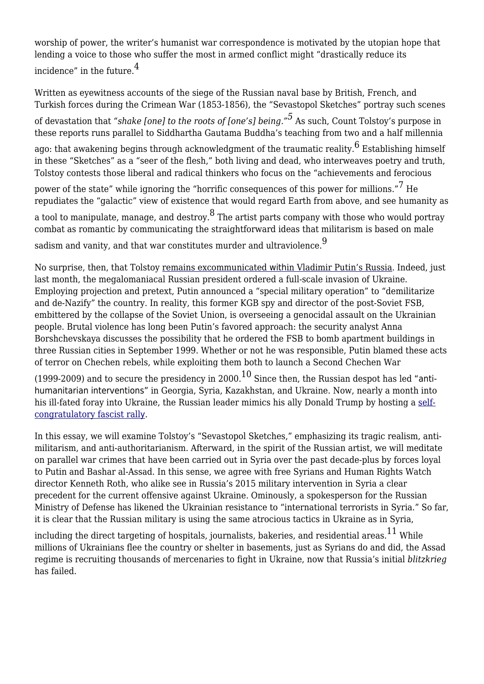<span id="page-1-0"></span>worship of power, the writer's humanist war correspondence is motivated by the utopian hope that lending a voice to those who suffer the most in armed conflict might "drastically reduce its incidence" in the future[.4](#page-9-2)

Written as eyewitness accounts of the siege of the Russian naval base by British, French, and Turkish forces during the Crimean War (1853-1856), the "Sevastopol Sketches" portray such scenes

<span id="page-1-1"></span>of devastation that *"shake [one] to the roots of [one's] being."[5](#page-9-3)* As such, Count Tolstoy's purpose in these reports runs parallel to Siddhartha Gautama Buddha's teaching from two and a half millennia

<span id="page-1-2"></span>ago: that awakening begins through acknowledgment of the traumatic reality. $^6$  Establishing himself in these "Sketches" as a "seer of the flesh," both living and dead, who interweaves poetry and truth, Tolstoy contests those liberal and radical thinkers who focus on the "achievements and ferocious

<span id="page-1-4"></span><span id="page-1-3"></span>power of the state" while ignoring the "horrific consequences of this power for millions."  $^7$  He repudiates the "galactic" view of existence that would regard Earth from above, and see humanity as a tool to manipulate, manage, and destroy. $^{\text{8}}$  The artist parts company with those who would portray combat as romantic by communicating the straightforward ideas that militarism is based on male sadism and vanity, and that war constitutes murder and ultraviolence.<sup>[9](#page-9-7)</sup>

<span id="page-1-5"></span>No surprise, then, that Tolstoy [remains excommunicated](https://www.christianitytoday.com/ct/2001/marchweb-only/3-5-44.0.html) [with](https://www.christianitytoday.com/ct/2001/marchweb-only/3-5-44.0.html)[in Vladimir Putin's Russia](https://www.christianitytoday.com/ct/2001/marchweb-only/3-5-44.0.html). Indeed, just last month, the megalomaniacal Russian president ordered a full-scale invasion of Ukraine. Employing projection and pretext, Putin [announced](https://www.theguardian.com/world/live/2022/feb/23/ukraine-russia-news-crisis-latest-live-updates-putin-biden-europe-sanctions-russian-invasion-border-troops) a "special military operation" to "demilitarize and de-Nazify" the country. In reality, this former KGB spy and director of the post-Soviet FSB, embittered by the collapse of the Soviet Union, is overseeing a [genocidal assault on the Ukrainian](https://www.theguardian.com/world/2022/mar/09/pure-genocide-civilian-targets-in-mariupol-annihilated-by-russian-attacks) [people](https://www.theguardian.com/world/2022/mar/09/pure-genocide-civilian-targets-in-mariupol-annihilated-by-russian-attacks). Brutal violence has long been Putin's favored approach: the security analyst Anna Borshchevskaya discusses the possibility that he ordered the FSB to bomb apartment buildings in three Russian cities in September 1999. Whether or not he was responsible, Putin blamed these acts of terror on Chechen rebels, while exploiting them both to launch a Second Chechen War

<span id="page-1-6"></span>(1999-2009) and to secure the presidency in 2000.<sup>[10](#page-9-8)</sup> Since then, the Russian despot has led ["anti](https://english.alaraby.co.uk/opinion/putins-kazakhstan-intervention-was-first-honed-syria)[humanitarian interventions"](https://english.alaraby.co.uk/opinion/putins-kazakhstan-intervention-was-first-honed-syria) in Georgia, Syria, Kazakhstan, and Ukraine. Now, nearly a month into his ill-fated foray into Ukraine, the Russian leader mimics his ally Donald Trump by hosting a [self](https://www.theguardian.com/world/2022/mar/18/putin-praises-russian-unity-at-rally-but-state-tv-broadcast-is-cut-off)[congratulatory fascist rall](https://www.theguardian.com/world/2022/mar/18/putin-praises-russian-unity-at-rally-but-state-tv-broadcast-is-cut-off)[y](https://www.theguardian.com/world/2022/mar/18/putin-praises-russian-unity-at-rally-but-state-tv-broadcast-is-cut-off).

In this essay, we will examine Tolstoy's "Sevastopol Sketches," emphasizing its tragic realism, antimilitarism, and anti-authoritarianism. Afterward, in the spirit of the Russian artist, we will meditate on parallel war crimes that have been carried out in Syria over the past decade-plus by forces loyal to Putin and Bashar al-Assad. In this sense, we agree with [free Syrians](https://english.alaraby.co.uk/analysis/syrians-russias-road-ukraine-started-damascus) and Human Rights Watch director [Kenneth Roth](https://www.reuters.com/world/un-rights-boss-urges-dialogue-end-violence-ukraine-2022-02-22/), who alike see in Russia's 2015 military intervention in Syria a clear precedent for the current offensive against Ukraine. Ominously, a spokesperson for the Russian Ministry of Defense has [likened](https://tass.com/russia/1412043) the Ukrainian resistance to "international terrorists in Syria." So far, it is clear that the Russian military is using the same atrocious tactics in Ukraine as in Syria,

<span id="page-1-7"></span>including the direct [targeting of hospitals](https://www.theguardian.com/world/2022/mar/10/ukraine-president-zelenskiy-decries-mariupol-childrens-maternity-hospital-bombing-genocide-as-us-13bn-aid-bill-passes-first-hurdle), [journalists](https://www.theguardian.com/world/2022/mar/13/brent-renaud-us-film-maker-killed-by-russian-forces-ukraine), [bakeries,](https://www.theguardian.com/world/2022/mar/13/ukraine-russia-war-putin-crimes-justice) and [residential areas.](https://www.theguardian.com/world/2022/mar/04/ninety-per-cent-of-houses-are-damaged-thousands-trapped-in-ukraines-small-towns) $^{11}$  While millions of Ukrainians flee the country or shelter in basements, just as Syrians do and did, the Assad regime is [recruiting thousands of mercenaries to fight in Ukraine,](https://twitter.com/intlibecosoc/status/1502489559216451586) now that Russia's initial *blitzkrieg* has failed.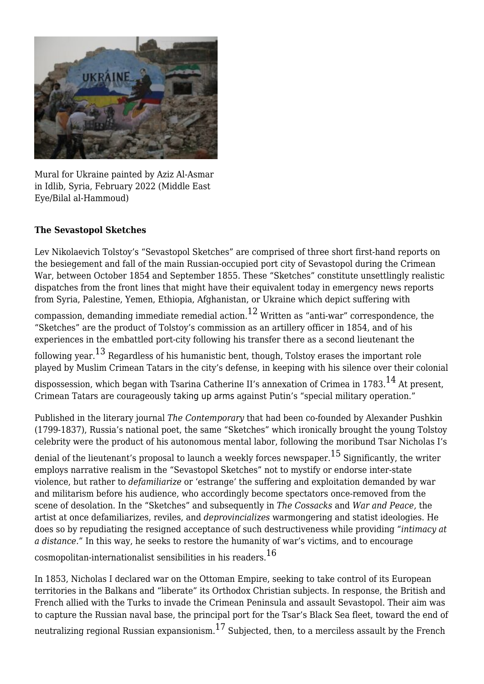

Mural for Ukraine painted by Aziz Al-Asmar in Idlib, Syria, February 2022 (Middle East Eye/Bilal al-Hammoud)

#### **The Sevastopol Sketches**

Lev Nikolaevich Tolstoy's "Sevastopol Sketches" are comprised of three short first-hand reports on the besiegement and fall of the main Russian-occupied port city of Sevastopol during the Crimean War, between October 1854 and September 1855. These "Sketches" constitute unsettlingly realistic dispatches from the front lines that might have their equivalent today in emergency news reports from Syria, Palestine, Yemen, Ethiopia, Afghanistan, or Ukraine which depict suffering with

<span id="page-2-0"></span>compassion, demanding immediate remedial action.<sup>[12](#page-10-1)</sup> Written as "anti-war" correspondence, the "Sketches" are the product of Tolstoy's commission as an artillery officer in 1854, and of his experiences in the embattled port-city following his transfer there as a second lieutenant the

<span id="page-2-1"></span>following year.<sup>13</sup> Regardless of his humanistic bent, though, Tolstoy erases the important role played by Muslim Crimean Tatars in the city's defense, in keeping with his silence over their colonial

<span id="page-2-2"></span>dispossession, which began with Tsarina Catherine II's annexation of Crimea in 1783.<sup>[14](#page-10-3)</sup> At present, Crimean Tatars are courageously [taking up arms](https://countervortex.org/blog/crimean-tatars-take-up-arms-for-ukraine/) against Putin's "special military operation."

Published in the literary journal *The Contemporary* that had been co-founded by Alexander Pushkin (1799-1837), Russia's national poet, the same "Sketches" which ironically brought the young Tolstoy celebrity were the product of his autonomous mental labor, following the moribund Tsar Nicholas I's

<span id="page-2-3"></span>denial of the lieutenant's proposal to launch a weekly forces newspaper.  $^{15}$  $^{15}$  $^{15}$  Significantly, the writer employs narrative realism in the "Sevastopol Sketches" not to mystify or endorse inter-state violence, but rather to *defamiliarize* or 'estrange' the suffering and exploitation demanded by war and militarism before his audience, who accordingly become spectators once-removed from the scene of desolation. In the "Sketches" and subsequently in *The Cossacks* and *War and Peace,* the artist at once defamiliarizes, reviles, and *deprovincializes* warmongering and statist ideologies. He does so by repudiating the resigned acceptance of such destructiveness while providing *"intimacy at a distance."* In this way, he seeks to restore the humanity of war's victims, and to encourage

<span id="page-2-4"></span>cosmopolitan-internationalist sensibilities in his readers.[16](#page-10-5)

<span id="page-2-5"></span>In 1853, Nicholas I declared war on the Ottoman Empire, seeking to take control of its European territories in the Balkans and "liberate" its Orthodox Christian subjects. In response, the British and French allied with the Turks to invade the Crimean Peninsula and assault Sevastopol. Their aim was to capture the Russian naval base, the principal port for the Tsar's Black Sea fleet, toward the end of neutralizing regional Russian expansionism.<sup>[17](#page-10-6)</sup> Subjected, then, to a merciless assault by the French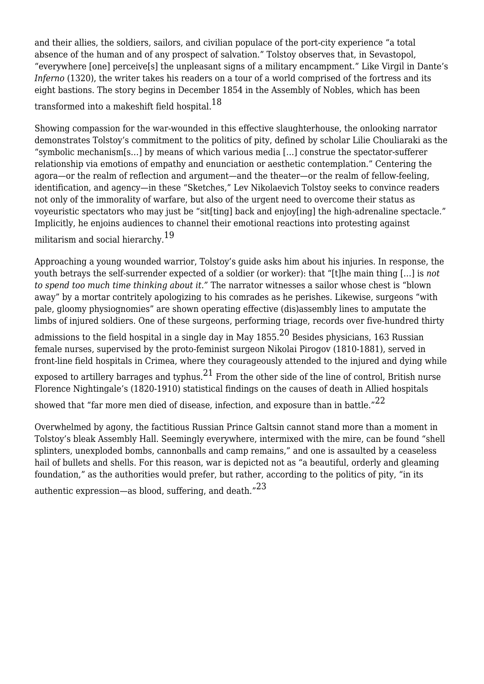and their allies, the soldiers, sailors, and civilian populace of the port-city experience "a total absence of the human and of any prospect of salvation." Tolstoy observes that, in Sevastopol, "everywhere [one] perceive[s] the unpleasant signs of a military encampment." Like Virgil in Dante's *Inferno* (1320), the writer takes his readers on a tour of a world comprised of the fortress and its eight bastions. The story begins in December 1854 in the Assembly of Nobles, which has been

<span id="page-3-0"></span>transformed into a makeshift field hospital.[18](#page-10-7)

Showing compassion for the war-wounded in this effective slaughterhouse, the onlooking narrator demonstrates Tolstoy's commitment to the politics of pity, defined by scholar Lilie Chouliaraki as the "symbolic mechanism[s…] by means of which various media […] construe the spectator-sufferer relationship via emotions of empathy and enunciation or aesthetic contemplation." Centering the agora—or the realm of reflection and argument—and the theater—or the realm of fellow-feeling, identification, and agency—in these "Sketches," Lev Nikolaevich Tolstoy seeks to convince readers not only of the immorality of warfare, but also of the urgent need to overcome their status as voyeuristic spectators who may just be "sit[ting] back and enjoy[ing] the high-adrenaline spectacle." Implicitly, he enjoins audiences to channel their emotional reactions into protesting against militarism and social hierarchy.<sup>[19](#page-10-8)</sup>

<span id="page-3-1"></span>Approaching a young wounded warrior, Tolstoy's guide asks him about his injuries. In response, the youth betrays the self-surrender expected of a soldier (or worker): that "[t]he main thing […] is *not to spend too much time thinking about it."* The narrator witnesses a sailor whose chest is "blown away" by a mortar contritely apologizing to his comrades as he perishes. Likewise, surgeons "with pale, gloomy physiognomies" are shown operating effective (dis)assembly lines to amputate the limbs of injured soldiers. One of these surgeons, performing triage, records over five-hundred thirty

<span id="page-3-2"></span>admissions to the field hospital in a single day in May  $1855.<sup>20</sup>$  $1855.<sup>20</sup>$  $1855.<sup>20</sup>$  Besides physicians, 163 Russian female nurses, supervised by the proto-feminist surgeon Nikolai Pirogov (1810-1881), served in front-line field hospitals in Crimea, where they courageously attended to the injured and dying while

<span id="page-3-3"></span>exposed to artillery barrages and typhus. $^{21}$  $^{21}$  $^{21}$  From the other side of the line of control, British nurse Florence Nightingale's (1820-1910) statistical findings on the causes of death in Allied hospitals

<span id="page-3-4"></span>showed that "far more men died of disease, infection, and exposure than in battle." $^{22}$ 

Overwhelmed by agony, the factitious Russian Prince Galtsin cannot stand more than a moment in Tolstoy's bleak Assembly Hall. Seemingly everywhere, intermixed with the mire, can be found "shell splinters, unexploded bombs, cannonballs and camp remains," and one is assaulted by a ceaseless hail of bullets and shells. For this reason, war is depicted not as "a beautiful, orderly and gleaming foundation," as the authorities would prefer, but rather, according to the politics of pity, "in its

<span id="page-3-5"></span>authentic expression—as blood, suffering, and death."[23](#page-10-12)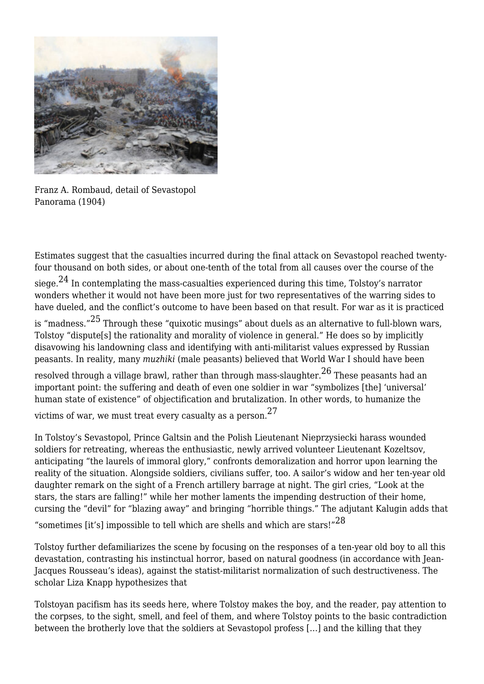

Franz A. Rombaud, detail of Sevastopol Panorama (1904)

<span id="page-4-0"></span>Estimates suggest that the casualties incurred during the final attack on Sevastopol reached twentyfour thousand on both sides, or about one-tenth of the total from all causes over the course of the siege.<sup>24</sup> In contemplating the mass-casualties experienced during this time, Tolstoy's narrator wonders whether it would not have been more just for two representatives of the warring sides to have dueled, and the conflict's outcome to have been based on that result. For war as it is practiced is "madness."<sup>25</sup> Through these "quixotic musings" about duels as an alternative to full-blown wars,

<span id="page-4-1"></span>Tolstoy "dispute[s] the rationality and morality of violence in general." He does so by implicitly disavowing his landowning class and identifying with anti-militarist values expressed by Russian peasants. In reality, many *muzhiki* (male peasants) believed that World War I should have been

<span id="page-4-2"></span>resolved through a village brawl, rather than through mass-slaughter. $^{26}$  These peasants had an important point: the suffering and death of even one soldier in war "symbolizes [the] 'universal' human state of existence" of objectification and brutalization. In other words, to humanize the

<span id="page-4-3"></span>victims of war, we must treat every casualty as a person.[27](#page-11-1)

In Tolstoy's Sevastopol, Prince Galtsin and the Polish Lieutenant Nieprzysiecki harass wounded soldiers for retreating, whereas the enthusiastic, newly arrived volunteer Lieutenant Kozeltsov, anticipating "the laurels of immoral glory," confronts demoralization and horror upon learning the reality of the situation. Alongside soldiers, civilians suffer, too. A sailor's widow and her ten-year old daughter remark on the sight of a French artillery barrage at night. The girl cries, "Look at the stars, the stars are falling!" while her mother laments the impending destruction of their home, cursing the "devil" for "blazing away" and bringing "horrible things." The adjutant Kalugin adds that "sometimes [it's] impossible to tell which are shells and which are stars!" $^{28}$  $^{28}$  $^{28}$ 

<span id="page-4-4"></span>Tolstoy further defamiliarizes the scene by focusing on the responses of a ten-year old boy to all this devastation, contrasting his instinctual horror, based on natural goodness (in accordance with Jean-Jacques Rousseau's ideas), against the statist-militarist normalization of such destructiveness. The scholar Liza Knapp hypothesizes that

<span id="page-4-5"></span>Tolstoyan pacifism has its seeds here, where Tolstoy makes the boy, and the reader, pay attention to the corpses, to the sight, smell, and feel of them, and where Tolstoy points to the basic contradiction between the brotherly love that the soldiers at Sevastopol profess […] and the killing that they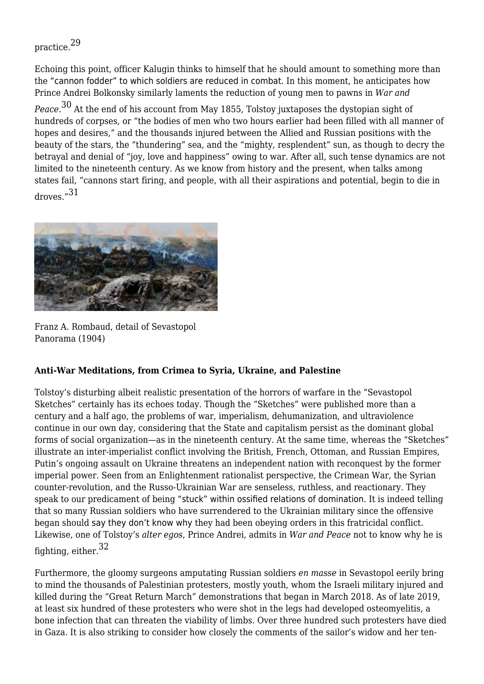# practice.[29](#page-11-3)

Echoing this point, officer Kalugin thinks to himself that he should amount to something more than the ["cannon fodder" to which soldiers are reduced in combat](https://www.theguardian.com/world/2022/mar/08/they-were-sent-as-cannon-fodder-siberian-governor-confronted-by-relatives-of-russian-unit). In this moment, he anticipates how Prince Andrei Bolkonsky similarly laments the reduction of young men to pawns in *War and*

<span id="page-5-0"></span>*Peace*. [30](#page-11-4) At the end of his account from May 1855, Tolstoy juxtaposes the dystopian sight of hundreds of corpses, or "the bodies of men who two hours earlier had been filled with all manner of hopes and desires," and the thousands injured between the Allied and Russian positions with the beauty of the stars, the "thundering" sea, and the "mighty, resplendent" sun, as though to decry the betrayal and denial of "joy, love and happiness" owing to war. After all, such tense dynamics are not limited to the nineteenth century. As we know from history and the present, when talks among states fail, "cannons start firing, and people, with all their aspirations and potential, begin to die in droves.["31](#page-11-5)

<span id="page-5-1"></span>

Franz A. Rombaud, detail of Sevastopol Panorama (1904)

#### **Anti-War Meditations, from Crimea to Syria, Ukraine, and Palestine**

Tolstoy's disturbing albeit realistic presentation of the horrors of warfare in the "Sevastopol Sketches" certainly has its echoes today. Though the "Sketches" were published more than a century and a half ago, the problems of war, imperialism, dehumanization, and ultraviolence continue in our own day, considering that the State and capitalism persist as the dominant global forms of social organization—as in the nineteenth century. At the same time, whereas the "Sketches" illustrate an inter-imperialist conflict involving the British, French, Ottoman, and Russian Empires, Putin's ongoing assault on Ukraine threatens an independent nation with reconquest by the former imperial power. Seen from an Enlightenment rationalist perspective, the Crimean War, the Syrian counter-revolution, and the Russo-Ukrainian War are senseless, ruthless, and reactionary. They speak to our predicament of being ["stuck" within ossified relations of domination](https://artreview.com/david-graeber-david-wengrow-history-of-humanity-asks-when-did-we-get-stuck/). It is indeed telling that so many Russian soldiers who have surrendered to the Ukrainian military since the offensive began should [say they don't know why](https://www.theguardian.com/world/2022/mar/12/russia-vladimir-putin-ukraine-kremlin-mood) they had been obeying orders in this fratricidal conflict. Likewise, one of Tolstoy's *alter egos*, Prince Andrei, admits in *War and Peace* not to know why he is fighting, either,  $32$ 

<span id="page-5-2"></span>Furthermore, the gloomy surgeons amputating Russian soldiers *en masse* in Sevastopol eerily bring to mind the thousands of Palestinian protesters, mostly youth, whom the Israeli military injured and killed during the "Great Return March" demonstrations that began in March 2018. As of late 2019, at least six hundred of these protesters who were shot in the legs had [developed osteomyelitis](https://www.alaraby.co.uk/english/indepth/2019/10/20/deadly-bone-infections-threaten-lives-of-gaza-protest-participants), a bone infection that can threaten the viability of limbs. Over three hundred such protesters have [died](https://www.alaraby.co.uk/english/news/2019/11/2/palestinian-man-killed-in-israeli-airstrikes-gaza-ministry) [in Gaza](https://www.alaraby.co.uk/english/news/2019/11/2/palestinian-man-killed-in-israeli-airstrikes-gaza-ministry). It is also striking to consider how closely the comments of the sailor's widow and her ten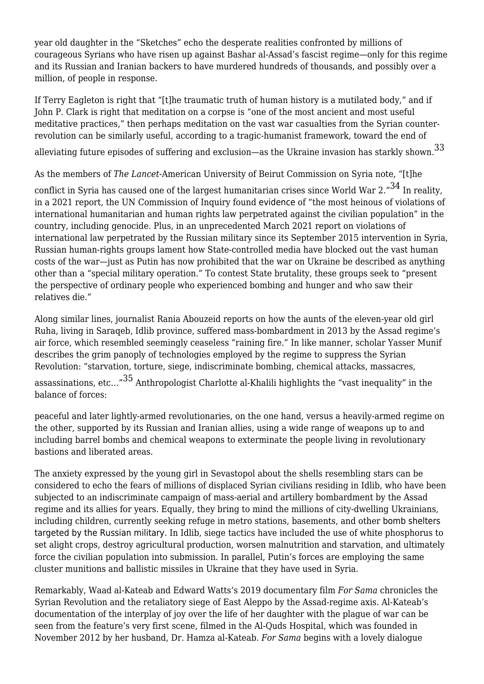year old daughter in the "Sketches" echo the desperate realities confronted by millions of courageous Syrians who have risen up against Bashar al-Assad's fascist regime—only for this regime and its Russian and Iranian backers to have murdered hundreds of thousands, and [possibly over a](https://www.alaraby.co.uk/english/indepth/2020/1/28/how-many-people-have-died-in-syria-since-2011) [million,](https://www.alaraby.co.uk/english/indepth/2020/1/28/how-many-people-have-died-in-syria-since-2011) of people in response.

If Terry Eagleton is right that "[t]he traumatic truth of human history is a mutilated body," and if John P. Clark is right that meditation on a corpse is "one of the most ancient and most useful meditative practices," then perhaps meditation on the vast war casualties from the Syrian counterrevolution can be similarly useful, according to a tragic-humanist framework, toward the end of

<span id="page-6-0"></span>alleviating future episodes of suffering and exclusion—as the Ukraine invasion has starkly shown.  $^{33}$ 

As the members of *The Lancet-*American University of Beirut Commission on Syria note, "[t]he

<span id="page-6-1"></span>conflict in Syria has caused one of the largest humanitarian crises since World War 2. $"^{34}$  $"^{34}$  $"^{34}$  In reality, in a 2021 report, the UN Commission of Inquiry found [evidence](https://nationalinterest.org/blog/buzz/united-nations-has-human-rights-issue-179976) of "the most heinous of violations of international humanitarian and human rights law perpetrated against the civilian population" in the country, including genocide. Plus, in an unprecedented March 2021 report on violations of international law perpetrated by the Russian military since its September 2015 intervention in Syria, Russian human-rights groups [lament how State-controlled media have blocked out the vast human](https://www.theguardian.com/world/2021/apr/02/rights-groups-russia-condemn-moscow-role-syria-war-crimes) [costs of the war—](https://www.theguardian.com/world/2021/apr/02/rights-groups-russia-condemn-moscow-role-syria-war-crimes)just as Putin has now [prohibited](https://www.nytimes.com/2022/03/04/world/europe/russia-censorship-media-crackdown.html) that the war on Ukraine be described as anything other than a "special military operation." To contest State brutality, these groups [seek to](https://english.alaraby.co.uk/english/indepth/2021/4/2/russian-rights-groups-slam-moscows-role-in-syria) "present the perspective of ordinary people who experienced bombing and hunger and who saw their relatives die."

Along similar lines, journalist Rania Abouzeid reports on how the aunts of the eleven-year old girl Ruha, living in Saraqeb, Idlib province, suffered mass-bombardment in 2013 by the Assad regime's air force, which resembled seemingly ceaseless "raining fire." In like manner, scholar Yasser Munif describes the grim panoply of technologies employed by the regime to suppress the Syrian Revolution: "starvation, torture, siege, indiscriminate bombing, chemical attacks, massacres, assassinations, etc…["35](#page-11-9) Anthropologist Charlotte al-Khalili [highlights](https://www.aljumhuriya.net/en/content/rethinking-concept-revolution-through-syrian-experience) the "vast inequality" in the balance of forces:

<span id="page-6-2"></span>peaceful and later lightly-armed revolutionaries, on the one hand, versus a heavily-armed regime on the other, supported by its Russian and Iranian allies, using a wide range of weapons up to and including barrel bombs and chemical weapons to exterminate the people living in revolutionary bastions and liberated areas.

The anxiety expressed by the young girl in Sevastopol about the shells resembling stars can be considered to echo the fears of millions of displaced Syrian civilians residing in Idlib, who have been subjected to an indiscriminate campaign of mass-aerial and artillery bombardment by the Assad regime and its allies for years. Equally, they bring to mind the millions of city-dwelling Ukrainians, including children, [currently seeking refuge](https://www.theguardian.com/world/gallery/2022/feb/24/russian-invasion-of-ukraine-begins-in-pictures) in metro stations, basements, and other [bomb shelters](https://www.theguardian.com/world/video/2022/mar/17/mariupol-theatre-and-swimming-pool-where-civilians-sheltered-lie-in-ruins-video) [targeted by the Russian military](https://www.theguardian.com/world/video/2022/mar/17/mariupol-theatre-and-swimming-pool-where-civilians-sheltered-lie-in-ruins-video). In Idlib, siege tactics have included the [use of white phosphorus](https://www.alaraby.co.uk/english/news/2019/5/28/satellite-images-show-crops-ablaze-after-syrian-regime-bombing) to set alight crops, destroy agricultural production, worsen malnutrition and starvation, and ultimately force the civilian population into submission. In parallel, Putin's forces are [employing the same](https://english.alaraby.co.uk/news/russian-forces-hit-hospital-cluster-bomb-used-syria) [cluster munitions](https://english.alaraby.co.uk/news/russian-forces-hit-hospital-cluster-bomb-used-syria) and [ballistic missiles](https://www.theguardian.com/world/2022/feb/27/analysis-what-weapons-is-russia-deploying-in-ukraine-invasion) in Ukraine that they have used in Syria.

Remarkably, Waad al-Kateab and Edward Watts's 2019 documentary film *[For Sama](https://www.pbs.org/wgbh/frontline/film/for-sama/)* chronicles the Syrian Revolution and the retaliatory siege of East Aleppo by the Assad-regime axis. Al-Kateab's documentation of the interplay of joy over the life of her daughter with the plague of war can be seen from the feature's very first scene, filmed in the Al-Quds Hospital, which was founded in November 2012 by her husband, Dr. Hamza al-Kateab. *For Sama* begins with a lovely dialogue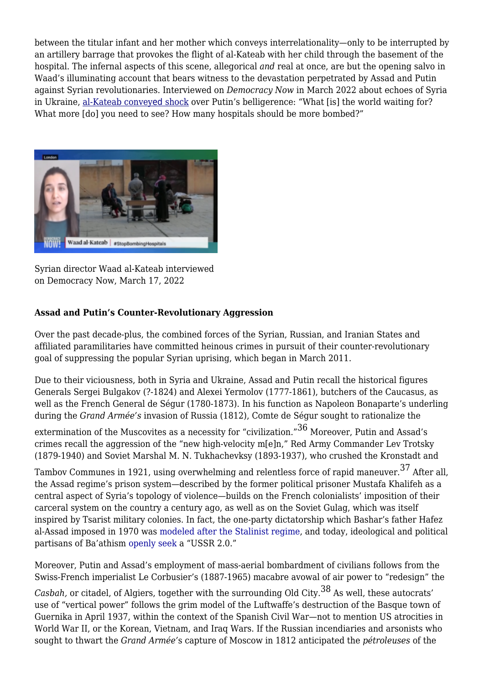between the titular infant and her mother which conveys interrelationality—only to be interrupted by an artillery barrage that provokes the flight of al-Kateab with her child through the basement of the hospital. The infernal aspects of this scene, allegorical *and* real at once, are but the opening salvo in Waad's illuminating account that bears witness to the [devastation perpetrated by Assad and Putin](https://english.alaraby.co.uk/english/indepth/2020/10/9/syria-insight-russias-intervention-five-years-on-part-1) against Syrian revolutionaries. Interviewed on *Democracy Now* in March 2022 about echoes of Syria in Ukraine, [al-Kateab convey](https://www.democracynow.org/2022/3/17/waad_al_kateab_russia_ukraine_syria)[ed](https://www.democracynow.org/2022/3/17/waad_al_kateab_russia_ukraine_syria) [shock](https://www.democracynow.org/2022/3/17/waad_al_kateab_russia_ukraine_syria) over Putin's belligerence: "What [is] the world waiting for? What more  $\lceil$  do<sub>]</sub> you need to see? How many hospitals should be more bombed?"



Syrian director Waad al-Kateab interviewed on Democracy Now, March 17, 2022

## **Assad and Putin's Counter-Revolutionary Aggression**

Over the past decade-plus, the combined forces of the Syrian, Russian, and Iranian States and affiliated paramilitaries have committed heinous crimes in pursuit of their counter-revolutionary goal of suppressing the popular Syrian uprising, which began in March 2011.

Due to their viciousness, both in Syria and Ukraine, Assad and Putin recall the historical figures Generals Sergei Bulgakov (?-1824) and Alexei Yermolov (1777-1861), butchers of the Caucasus, as well as the French General de Ségur (1780-1873). In his function as Napoleon Bonaparte's underling during the *Grand Armée's* invasion of Russia (1812), Comte de Ségur sought to rationalize the

<span id="page-7-0"></span>extermination of the Muscovites as a necessity for "civilization."[36](#page-11-10) Moreover, Putin and Assad's crimes recall the aggression of the "new high-velocity m[e]n," Red Army Commander Lev Trotsky (1879-1940) and Soviet Marshal M. N. Tukhachevksy (1893-1937), who crushed the Kronstadt and

<span id="page-7-1"></span>Tambov Communes in 1921, using overwhelming and relentless force of rapid maneuver.[37](#page-11-11) After all, the Assad regime's prison system—described by the former political prisoner Mustafa Khalifeh as a central aspect of Syria's topology of violence—builds on the French colonialists' imposition of their carceral system on the country a century ago, as well as on the Soviet Gulag, which was itself inspired by Tsarist military colonies. In fact, the one-party dictatorship which Bashar's father Hafez al-Assad imposed in 1970 was [modeled after the Stalinist regime](https://english.alaraby.co.uk/english/news/2020/11/12/syria-marks-50-years-of-assad-family-rule), and today, ideological and political partisans of Ba'athism [openly seek](https://www.opendemocracy.net/en/odr/russia-liberal-intelligentsia-post-putin-consensus) a "USSR 2.0."

Moreover, Putin and Assad's employment of mass-aerial bombardment of civilians follows from the Swiss-French imperialist Le Corbusier's (1887-1965) macabre avowal of air power to "redesign" the

<span id="page-7-2"></span>*Casbah,* or citadel, of Algiers, together with the surrounding Old City[.38](#page-11-12) As well, these autocrats' use of "vertical power" follows the grim model of the Luftwaffe's destruction of the Basque town of Guernika in April 1937, within the context of the Spanish Civil War—not to mention US atrocities in World War II, or the Korean, Vietnam, and Iraq Wars. If the Russian incendiaries and arsonists who sought to thwart the *Grand Armée'*s capture of Moscow in 1812 anticipated the *pétroleuses* of the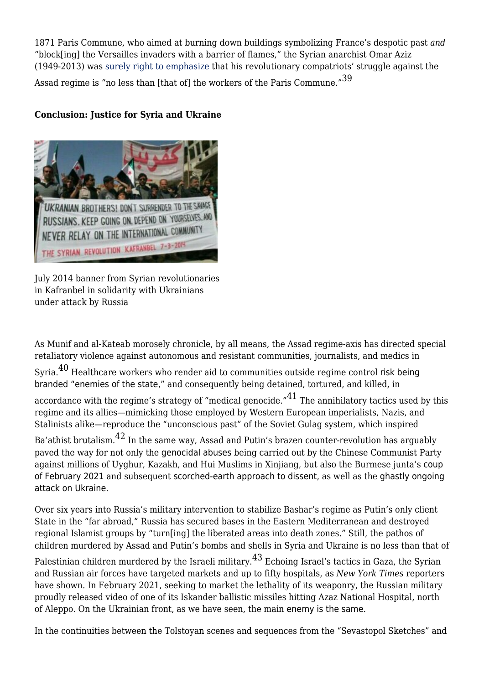<span id="page-8-0"></span>1871 Paris Commune, who aimed at burning down buildings symbolizing France's despotic past *and* "block[ing] the Versailles invaders with a barrier of flames," the Syrian anarchist Omar Aziz (1949-2013) was [surely right to emphasize](https://thenewinquiry.com/they-resisted-for-70-days-and-we-are-still-going-on-for-a-year-and-a-half) that his revolutionary compatriots' struggle against the Assad regime is "no less than [that of] the workers of the Paris Commune."<sup>[39](#page-11-13)</sup>

### **Conclusion: Justice for Syria and Ukraine**



July 2014 banner from Syrian revolutionaries in Kafranbel in solidarity with Ukrainians under attack by Russia

<span id="page-8-1"></span>As Munif and al-Kateab morosely chronicle, by all means, the Assad regime-axis has directed special retaliatory violence against autonomous and resistant communities, journalists, and medics in

Syria.[40](#page-12-0) Healthcare workers who render aid to communities outside regime control [risk being](https://www.nytimes.com/2019/12/04/world/middleeast/syria-health-workers-persecution.html) [branded "enemies of the state,"](https://www.nytimes.com/2019/12/04/world/middleeast/syria-health-workers-persecution.html) and consequently being detained, tortured, and killed, in

<span id="page-8-2"></span>accordance with the regime's strategy of "medical genocide." $41$  The annihilatory tactics used by this regime and its allies—mimicking those employed by Western European imperialists, Nazis, and Stalinists alike—reproduce the "unconscious past" of the Soviet Gulag system, which inspired

<span id="page-8-3"></span>Ba'athist brutalism.[42](#page-12-2) In the same way, Assad and Putin's brazen counter-revolution has arguably paved the way for not only the [genocidal abuses](https://www.bbc.com/news/world-asia-china-55794071) being carried out by the Chinese Communist Party against millions of Uyghur, Kazakh, and Hui Muslims in Xinjiang, but also the Burmese junta's [coup](https://www.opendemocracy.net/en/beyond-trafficking-and-slavery/unions-call-for-more-sanctions-on-anniversary-of-myanmars-coup/) [of February 2021](https://www.opendemocracy.net/en/beyond-trafficking-and-slavery/unions-call-for-more-sanctions-on-anniversary-of-myanmars-coup/) and subsequent [scorched-earth approach to dissent](https://www.theguardian.com/global-development/2022/jan/29/myanmars-junta-torching-village-after-village-in-bid-to-quell-opposition), as well as the [ghastly ongoing](https://www.opendemocracy.net/en/odr/trapped-in-mariupol-what-its-like-inside-ukraines-besieged-city/) [attack on Ukraine](https://www.opendemocracy.net/en/odr/trapped-in-mariupol-what-its-like-inside-ukraines-besieged-city/).

Over six years into Russia's military intervention to [stabilize Bashar's regime](https://newpol.org/issue_post/assads-pyrrhic-victory/) as [Putin's only client](https://www.opendemocracy.net/en/odr/russia-isolation-kobrin) [State](https://www.opendemocracy.net/en/odr/russia-isolation-kobrin) in the "far abroad," Russia has secured bases in the Eastern Mediterranean and destroyed regional Islamist groups by "turn[ing] the liberated areas into death zones." Still, the pathos of children murdered by Assad and Putin's bombs and shells in Syria and Ukraine is no less than that of

<span id="page-8-4"></span>Palestinian children murdered by the Israeli military.<sup>43</sup> Echoing Israel's tactics in Gaza, the Syrian and Russian air forces have targeted [markets](https://www.aljazeera.com/news/middleeast/2019/07/air-raid-busy-market-northwest-syria-kills-190722090158010.html) and [up to fifty hospitals,](https://english.alaraby.co.uk/news/children-killed-russian-airstrikes-syrias-idlib-province) as *New York Times* reporters [have shown.](https://www.nytimes.com/2019/10/13/reader-center/russia-syria-hospitals-investigation.html) In February 2021, seeking to market the lethality of its weaponry, the Russian military [proudly released video of one of its Iskander ballistic missiles hitting Azaz National Hospital,](https://english.alaraby.co.uk/english/News/2021/2/27/Russia-releases-video-showing-it-bombed-hospital-in-Aleppo) north of Aleppo. On the Ukrainian front, as we have seen, the main [enemy is the same](https://www.theguardian.com/world/2022/mar/15/the-enemy-is-the-same-idlibs-message-to-ukraine-as-syrian-war-enters-12th-year).

In the continuities between the Tolstoyan scenes and sequences from the "Sevastopol Sketches" and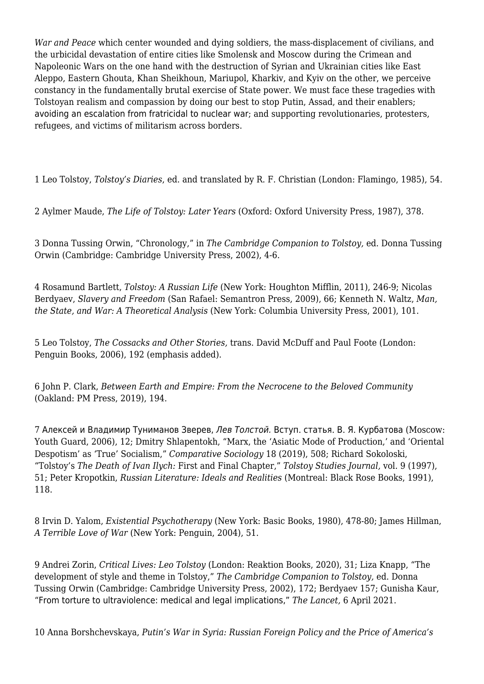*War and Peace* which center wounded and dying soldiers, the mass-displacement of civilians, and the urbicidal devastation of entire cities like Smolensk and Moscow during the Crimean and Napoleonic Wars on the one hand with the destruction of Syrian and Ukrainian cities like East Aleppo, Eastern Ghouta, Khan Sheikhoun, Mariupol, Kharkiv, and Kyiv on the other, we perceive constancy in the fundamentally brutal exercise of State power. We must face these tragedies with Tolstoyan realism and compassion by doing our best to stop Putin, Assad, and their enablers; [avoiding an escalation from fratricidal to nuclear war](https://www.theguardian.com/world/2022/mar/18/russian-journalist-who-staged-anti-war-tv-protest-quits-job-but-rejects-french-asylum-offer); and supporting revolutionaries, protesters, refugees, and victims of militarism across borders.

[1 L](#page-0-0)eo Tolstoy, *Tolstoy's Diaries*, ed. and translated by R. F. Christian (London: Flamingo, 1985), 54.

<span id="page-9-0"></span>[2 A](#page-0-1)ylmer Maude, *The Life of Tolstoy: Later Years* (Oxford: Oxford University Press, 1987), 378.

<span id="page-9-1"></span>[3](#page-0-2) Donna Tussing Orwin, "Chronology," in *The Cambridge Companion to Tolstoy,* ed. Donna Tussing Orwin (Cambridge: Cambridge University Press, 2002), 4-6.

<span id="page-9-2"></span>[4](#page-1-0) Rosamund Bartlett, *Tolstoy: A Russian Life* (New York: Houghton Mifflin, 2011), 246-9; Nicolas Berdyaev, *Slavery and Freedom* (San Rafael: Semantron Press, 2009), 66; Kenneth N. Waltz, *Man, the State, and War: A Theoretical Analysis* (New York: Columbia University Press, 2001), 101.

<span id="page-9-3"></span>[5](#page-1-1) Leo Tolstoy, *The Cossacks and Other Stories,* trans. David McDuff and Paul Foote (London: Penguin Books, 2006), 192 (emphasis added).

<span id="page-9-4"></span>[6 J](#page-1-2)ohn P. Clark, *Between Earth and Empire: From the Necrocene to the Beloved Community* (Oakland: PM Press, 2019), 194.

<span id="page-9-5"></span>[7](#page-1-3) Алексей и Владимир Туниманов Зверев, Лев Толстой. Вступ. статья. В. Я. Курбатова (Moscow: Youth Guard, 2006), 12; Dmitry Shlapentokh, "Marx, the 'Asiatic Mode of Production,' and 'Oriental Despotism' as 'True' Socialism," *Comparative Sociology* 18 (2019), 508; Richard Sokoloski, "Tolstoy's *The Death of Ivan Ilych:* First and Final Chapter," *Tolstoy Studies Journal,* vol. 9 (1997), 51; Peter Kropotkin, *Russian Literature: Ideals and Realities* (Montreal: Black Rose Books, 1991), 118.

<span id="page-9-6"></span>[8 I](#page-1-4)rvin D. Yalom, *Existential Psychotherapy* (New York: Basic Books, 1980), 478-80; James Hillman, *A Terrible Love of War* (New York: Penguin, 2004), 51.

<span id="page-9-7"></span>[9](#page-1-5) Andrei Zorin, *Critical Lives: Leo Tolstoy* (London: Reaktion Books, 2020), 31; Liza Knapp, "The development of style and theme in Tolstoy," *The Cambridge Companion to Tolstoy,* ed. Donna Tussing Orwin (Cambridge: Cambridge University Press, 2002), 172; Berdyaev 157; Gunisha Kaur, ["](https://doi.org/10.1016/S0140-6736(21)00222-1)[From torture to ultraviolence: medical and legal implications,"](https://doi.org/10.1016/S0140-6736(21)00222-1) *The Lancet,* 6 April 2021.

<span id="page-9-8"></span>[10](#page-1-6) Anna Borshchevskaya, *Putin's War in Syria: Russian Foreign Policy and the Price of America's*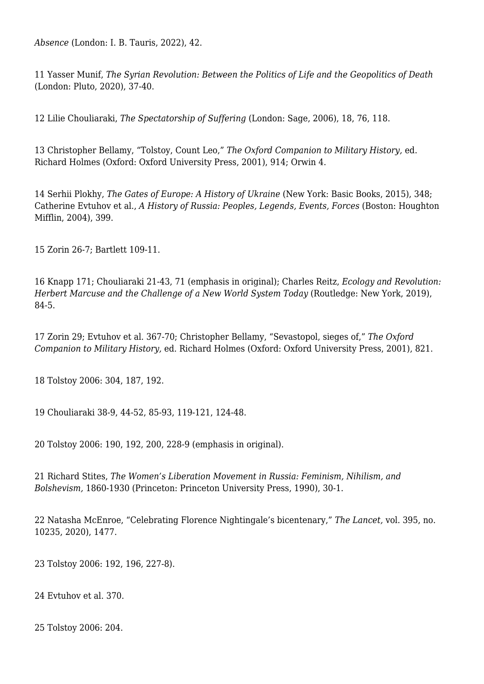*Absence* (London: I. B. Tauris, 2022), 42.

<span id="page-10-0"></span>[11](#page-1-7) Yasser Munif, *The Syrian Revolution: Between the Politics of Life and the Geopolitics of Death* (London: Pluto, 2020), 37-40.

<span id="page-10-1"></span>[12](#page-2-0) Lilie Chouliaraki, *The Spectatorship of Suffering* (London: Sage, 2006), 18, 76, 118.

<span id="page-10-2"></span>[13](#page-2-1) Christopher Bellamy, "Tolstoy, Count Leo," *The Oxford Companion to Military History,* ed. Richard Holmes (Oxford: Oxford University Press, 2001), 914; Orwin 4.

<span id="page-10-3"></span>[14](#page-2-2) Serhii Plokhy, *The Gates of Europe: A History of Ukraine* (New York: Basic Books, 2015), 348; Catherine Evtuhov et al., *A History of Russia: Peoples, Legends, Events, Forces* (Boston: Houghton Mifflin, 2004), 399.

<span id="page-10-4"></span>[15](#page-2-3) Zorin 26-7; Bartlett 109-11.

<span id="page-10-5"></span>[16](#page-2-4) Knapp 171; Chouliaraki 21-43, 71 (emphasis in original); Charles Reitz, *Ecology and Revolution: Herbert Marcuse and the Challenge of a New World System Today (Routledge: New York, 2019),* 84-5.

<span id="page-10-6"></span>[17](#page-2-5) Zorin 29; Evtuhov et al. 367-70; Christopher Bellamy, "Sevastopol, sieges of," *The Oxford Companion to Military History,* ed. Richard Holmes (Oxford: Oxford University Press, 2001), 821.

<span id="page-10-7"></span>[18](#page-3-0) Tolstoy 2006: 304, 187, 192.

<span id="page-10-8"></span>[19](#page-3-1) Chouliaraki 38-9, 44-52, 85-93, 119-121, 124-48.

<span id="page-10-9"></span>[20](#page-3-2) Tolstoy 2006: 190, 192, 200, 228-9 (emphasis in original).

<span id="page-10-10"></span>[21](#page-3-3) Richard Stites, *The Women's Liberation Movement in Russia: Feminism, Nihilism, and Bolshevism,* 1860-1930 (Princeton: Princeton University Press, 1990), 30-1.

<span id="page-10-11"></span>[22](#page-3-4) Natasha McEnroe, "Celebrating Florence Nightingale's bicentenary," *The Lancet,* vol. 395, no. 10235, 2020), 1477.

<span id="page-10-12"></span>[23](#page-3-5) Tolstoy 2006: 192, 196, 227-8).

<span id="page-10-13"></span>[24](#page-4-0) Evtuhov et al. 370.

<span id="page-10-14"></span>[25](#page-4-1) Tolstoy 2006: 204.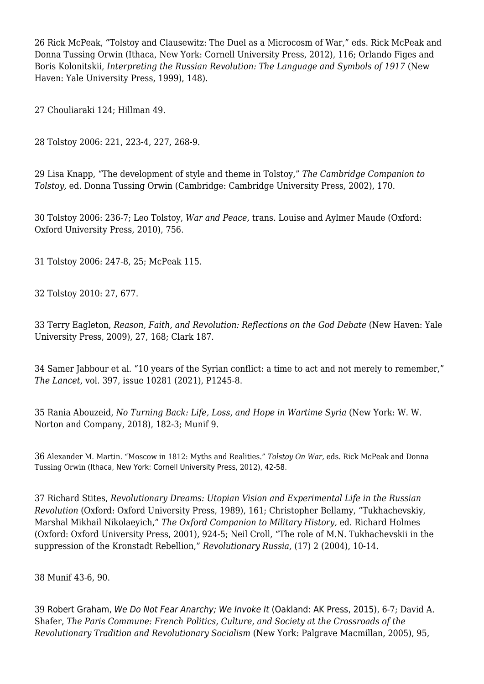<span id="page-11-0"></span>[26](#page-4-2) Rick McPeak, "Tolstoy and Clausewitz: The Duel as a Microcosm of War," eds. Rick McPeak and Donna Tussing Orwin (Ithaca, New York: Cornell University Press, 2012), 116; Orlando Figes and Boris Kolonitskii, *Interpreting the Russian Revolution: The Language and Symbols of 1917* (New Haven: Yale University Press, 1999), 148).

<span id="page-11-1"></span>[27](#page-4-3) Chouliaraki 124; Hillman 49.

<span id="page-11-2"></span>[28](#page-4-4) Tolstoy 2006: 221, 223-4, 227, 268-9.

<span id="page-11-3"></span>[29](#page-4-5) Lisa Knapp, "The development of style and theme in Tolstoy," *The Cambridge Companion to Tolstoy,* ed. Donna Tussing Orwin (Cambridge: Cambridge University Press, 2002), 170.

<span id="page-11-4"></span>[30](#page-5-0) Tolstoy 2006: 236-7; Leo Tolstoy, *War and Peace,* trans. Louise and Aylmer Maude (Oxford: Oxford University Press, 2010), 756.

<span id="page-11-5"></span>[31](#page-5-1) Tolstoy 2006: 247-8, 25; McPeak 115.

<span id="page-11-6"></span>[32](#page-5-2) Tolstoy 2010: 27, 677.

<span id="page-11-7"></span>[33](#page-6-0) Terry Eagleton, *Reason, Faith, and Revolution: Reflections on the God Debate* (New Haven: Yale University Press, 2009), 27, 168; Clark 187.

<span id="page-11-8"></span>[34](#page-6-1) Samer Jabbour et al. "10 years of the Syrian conflict: a time to act and not merely to remember," *The Lancet,* vol. 397, issue 10281 (2021), P1245-8.

<span id="page-11-9"></span>[35](#page-6-2) Rania Abouzeid, *No Turning Back: Life, Loss, and Hope in Wartime Syria* (New York: W. W. Norton and Company, 2018), 182-3; Munif 9.

<span id="page-11-10"></span>[36](#page-7-0) Alexander M. Martin. "Moscow in 1812: Myths and Realities." *Tolstoy On War,* eds. Rick McPeak and Donna Tussing Orwin (Ithaca, New York: Cornell University Press, 2012), 42-58.

<span id="page-11-11"></span>[37](#page-7-1) Richard Stites, *Revolutionary Dreams: Utopian Vision and Experimental Life in the Russian Revolution* (Oxford: Oxford University Press, 1989), 161; Christopher Bellamy, "Tukhachevskiy, Marshal Mikhail Nikolaeyich," *The Oxford Companion to Military History,* ed. Richard Holmes (Oxford: Oxford University Press, 2001), 924-5; Neil Croll, "The role of M.N. Tukhachevskii in the suppression of the Kronstadt Rebellion," *Revolutionary Russia,* (17) 2 (2004), 10-14.

<span id="page-11-12"></span>[38](#page-7-2) Munif 43-6, 90.

<span id="page-11-13"></span>[39](#page-8-0) Robert Graham, We Do Not Fear Anarchy; We Invoke It (Oakland: AK Press, 2015), 6-7; David A. Shafer, *The Paris Commune: French Politics, Culture, and Society at the Crossroads of the Revolutionary Tradition and Revolutionary Socialism* (New York: Palgrave Macmillan, 2005), 95,